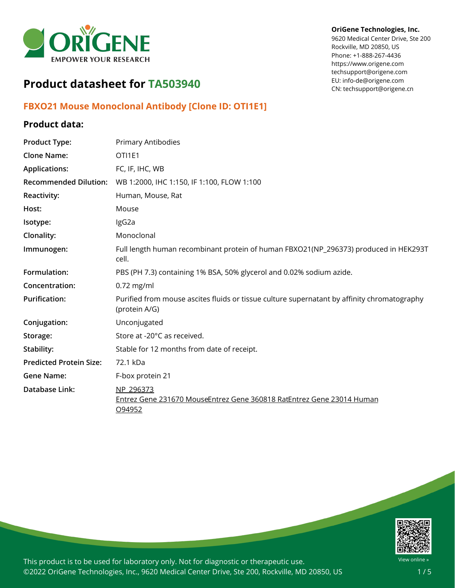

**OriGene Technologies, Inc.** 9620 Medical Center Drive, Ste 200 Rockville, MD 20850, US Phone: +1-888-267-4436 https://www.origene.com techsupport@origene.com EU: info-de@origene.com CN: techsupport@origene.cn

# **Product datasheet for TA503940**

## **FBXO21 Mouse Monoclonal Antibody [Clone ID: OTI1E1]**

### **Product data:**

| <b>Product Type:</b>           | Primary Antibodies                                                                                           |
|--------------------------------|--------------------------------------------------------------------------------------------------------------|
| <b>Clone Name:</b>             | OTI1E1                                                                                                       |
| <b>Applications:</b>           | FC, IF, IHC, WB                                                                                              |
| <b>Recommended Dilution:</b>   | WB 1:2000, IHC 1:150, IF 1:100, FLOW 1:100                                                                   |
| <b>Reactivity:</b>             | Human, Mouse, Rat                                                                                            |
| Host:                          | Mouse                                                                                                        |
| Isotype:                       | IgG2a                                                                                                        |
| Clonality:                     | Monoclonal                                                                                                   |
| Immunogen:                     | Full length human recombinant protein of human FBXO21(NP_296373) produced in HEK293T<br>cell.                |
| Formulation:                   | PBS (PH 7.3) containing 1% BSA, 50% glycerol and 0.02% sodium azide.                                         |
| Concentration:                 | $0.72$ mg/ml                                                                                                 |
| <b>Purification:</b>           | Purified from mouse ascites fluids or tissue culture supernatant by affinity chromatography<br>(protein A/G) |
| Conjugation:                   | Unconjugated                                                                                                 |
| Storage:                       | Store at -20°C as received.                                                                                  |
| Stability:                     | Stable for 12 months from date of receipt.                                                                   |
| <b>Predicted Protein Size:</b> | 72.1 kDa                                                                                                     |
| <b>Gene Name:</b>              | F-box protein 21                                                                                             |
| Database Link:                 | NP 296373<br>Entrez Gene 231670 MouseEntrez Gene 360818 RatEntrez Gene 23014 Human<br>O94952                 |

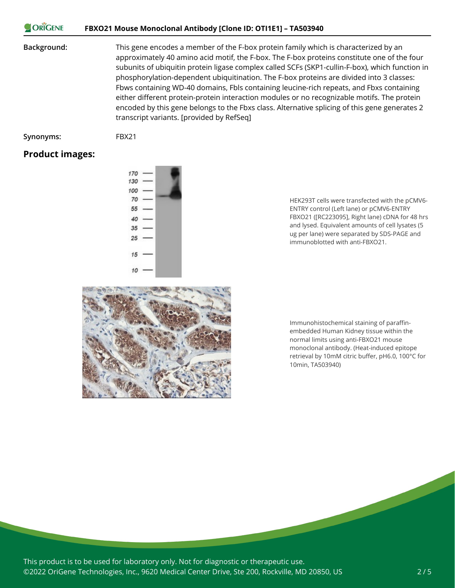#### ORIGENE **FBXO21 Mouse Monoclonal Antibody [Clone ID: OTI1E1] – TA503940**

#### **Background:** This gene encodes a member of the F-box protein family which is characterized by an approximately 40 amino acid motif, the F-box. The F-box proteins constitute one of the four subunits of ubiquitin protein ligase complex called SCFs (SKP1-cullin-F-box), which function in phosphorylation-dependent ubiquitination. The F-box proteins are divided into 3 classes: Fbws containing WD-40 domains, Fbls containing leucine-rich repeats, and Fbxs containing either different protein-protein interaction modules or no recognizable motifs. The protein encoded by this gene belongs to the Fbxs class. Alternative splicing of this gene generates 2 transcript variants. [provided by RefSeq]

**Synonyms:** FBX21

#### **Product images:**



HEK293T cells were transfected with the pCMV6- ENTRY control (Left lane) or pCMV6-ENTRY FBXO21 ([RC223095], Right lane) cDNA for 48 hrs and lysed. Equivalent amounts of cell lysates (5 ug per lane) were separated by SDS-PAGE and immunoblotted with anti-FBXO21.



Immunohistochemical staining of paraffinembedded Human Kidney tissue within the normal limits using anti-FBXO21 mouse monoclonal antibody. (Heat-induced epitope retrieval by 10mM citric buffer, pH6.0, 100°C for 10min, TA503940)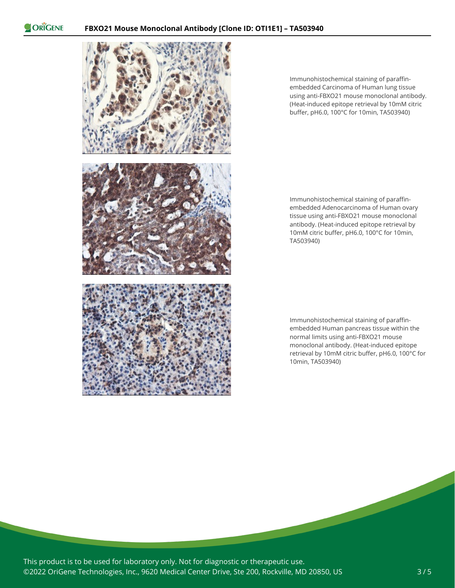ORIGENE



Immunohistochemical staining of paraffinembedded Carcinoma of Human lung tissue using anti-FBXO21 mouse monoclonal antibody. (Heat-induced epitope retrieval by 10mM citric buffer, pH6.0, 100°C for 10min, TA503940)

Immunohistochemical staining of paraffinembedded Adenocarcinoma of Human ovary tissue using anti-FBXO21 mouse monoclonal antibody. (Heat-induced epitope retrieval by 10mM citric buffer, pH6.0, 100°C for 10min, TA503940)

Immunohistochemical staining of paraffinembedded Human pancreas tissue within the normal limits using anti-FBXO21 mouse monoclonal antibody. (Heat-induced epitope retrieval by 10mM citric buffer, pH6.0, 100°C for 10min, TA503940)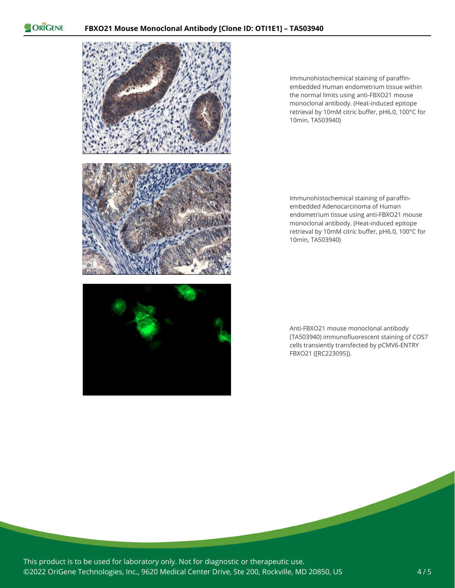ORIGENE



Immunohistochemical staining of paraffinembedded Human endometrium tissue within the normal limits using anti-FBXO21 mouse monoclonal antibody. (Heat-induced epitope retrieval by 10mM citric buffer, pH6.0, 100°C for 10min, TA503940)

Immunohistochemical staining of paraffinembedded Adenocarcinoma of Human endometrium tissue using anti-FBXO21 mouse monoclonal antibody. (Heat-induced epitope retrieval by 10mM citric buffer, pH6.0, 100°C for 10min, TA503940)

Anti-FBXO21 mouse monoclonal antibody (TA503940) immunofluorescent staining of COS7 cells transiently transfected by pCMV6-ENTRY FBXO21 ([RC223095]).